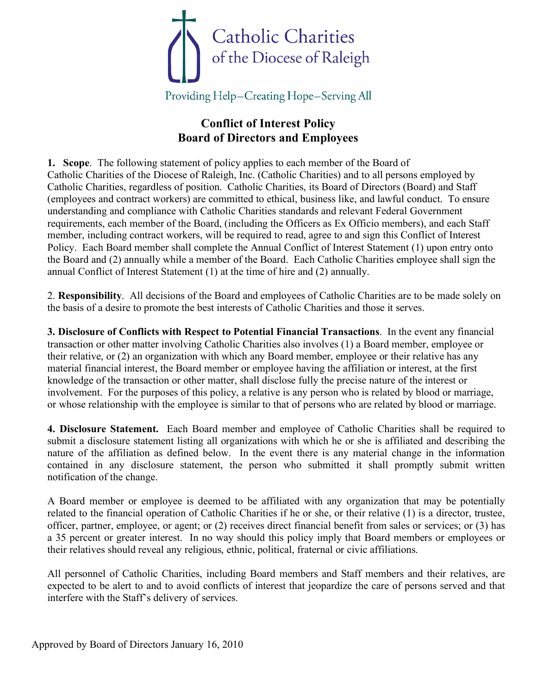

## **Conflict of Interest Policy Board of Directors and Employees**

**1. Scope**. The following statement of policy applies to each member of the Board of Catholic Charities of the Diocese of Raleigh, Inc. (Catholic Charities) and to all persons employed by Catholic Charities, regardless of position. Catholic Charities, its Board of Directors (Board) and Staff (employees and contract workers) are committed to ethical, business like, and lawful conduct. To ensure understanding and compliance with Catholic Charities standards and relevant Federal Government requirements, each member of the Board, (including the Officers as Ex Officio members), and each Staff member, including contract workers, will be required to read, agree to and sign this Conflict of Interest Policy. Each Board member shall complete the Annual Conflict of Interest Statement (1) upon entry onto the Board and (2) annually while a member of the Board. Each Catholic Charities employee shall sign the annual Conflict of Interest Statement (1) at the time of hire and (2) annually.

2. **Responsibility**. All decisions of the Board and employees of Catholic Charities are to be made solely on the basis of a desire to promote the best interests of Catholic Charities and those it serves.

**3. Disclosure of Conflicts with Respect to Potential Financial Transactions**. In the event any financial transaction or other matter involving Catholic Charities also involves (1) a Board member, employee or their relative, or (2) an organization with which any Board member, employee or their relative has any material financial interest, the Board member or employee having the affiliation or interest, at the first knowledge of the transaction or other matter, shall disclose fully the precise nature of the interest or involvement. For the purposes of this policy, a relative is any person who is related by blood or marriage, or whose relationship with the employee is similar to that of persons who are related by blood or marriage.

**4. Disclosure Statement.** Each Board member and employee of Catholic Charities shall be required to submit a disclosure statement listing all organizations with which he or she is affiliated and describing the nature of the affiliation as defined below. In the event there is any material change in the information contained in any disclosure statement, the person who submitted it shall promptly submit written notification of the change.

A Board member or employee is deemed to be affiliated with any organization that may be potentially related to the financial operation of Catholic Charities if he or she, or their relative (1) is a director, trustee, officer, partner, employee, or agent; or (2) receives direct financial benefit from sales or services; or (3) has a 35 percent or greater interest. In no way should this policy imply that Board members or employees or their relatives should reveal any religious, ethnic, political, fraternal or civic affiliations.

All personnel of Catholic Charities, including Board members and Staff members and their relatives, are expected to be alert to and to avoid conflicts of interest that jeopardize the care of persons served and that interfere with the Staff's delivery of services.